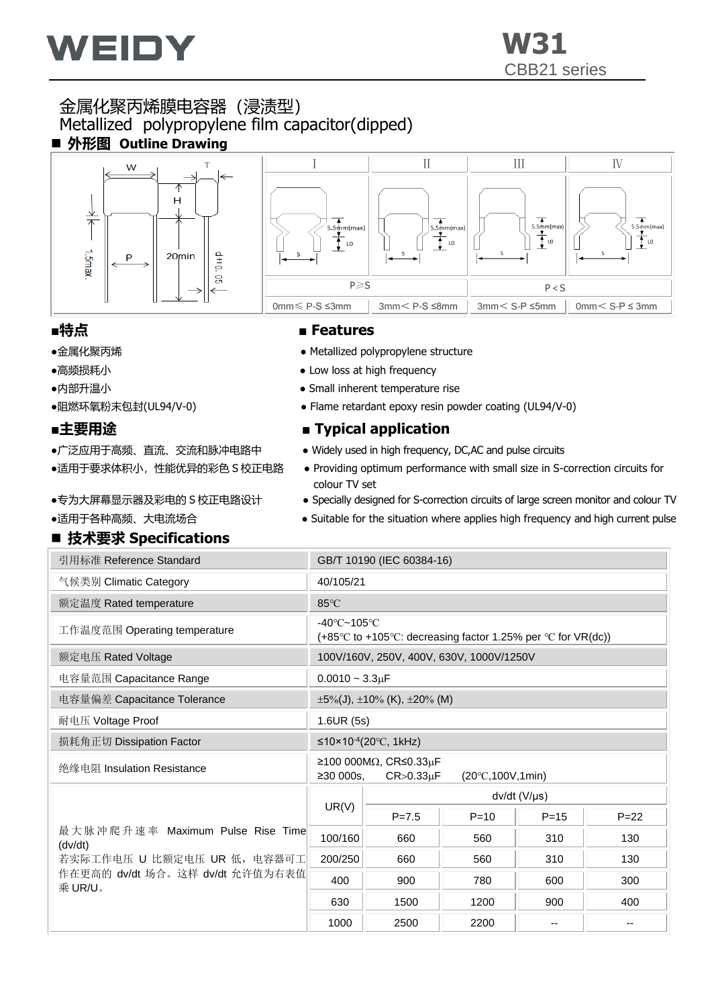

## 金属化聚丙烯膜电容器(浸渍型) Metallized polypropylene film capacitor(dipped) ■ 外形图 Outline Drawing





- 
- 
- 
- 

- 
- 
- 
- 

## ■ 技术要求 Specifications

### ■特点 ■ Features

- ●金属化聚丙烯 Metallized polypropylene structure
- ●高频损耗小 ● Low loss at high frequency
- ●内部升温小 ● Small inherent temperature rise
- ●阻燃环氧粉末包封(UL94/V-0) → → Flame retardant epoxy resin powder coating (UL94/V-0)

## ■主要用途 ■ Typical application

- •广泛应用于高频、直流、交流和脉冲电路中 → Widely used in high frequency, DC,AC and pulse circuits
- ●适用于要求体积小,性能优异的彩色 S 校正电路→ Providing optimum performance with small size in S-correction circuits for colour TV set
- ●专为大屏幕显示器及彩电的 S 校正电路设计 → Specially designed for S-correction circuits of large screen monitor and colour TV
- ●适用于各种高频、大电流场合 → Suitable for the situation where applies high frequency and high current pulse

| 引用标准 Reference Standard                     | GB/T 10190 (IEC 60384-16)                                                                                  |                                               |          |          |          |  |  |  |  |
|---------------------------------------------|------------------------------------------------------------------------------------------------------------|-----------------------------------------------|----------|----------|----------|--|--|--|--|
| 气候类别 Climatic Category                      | 40/105/21                                                                                                  |                                               |          |          |          |  |  |  |  |
| 额定温度 Rated temperature                      | 85°C                                                                                                       |                                               |          |          |          |  |  |  |  |
| 工作温度范围 Operating temperature                | $-40^{\circ}$ C $-105^{\circ}$ C<br>$(+85^{\circ}$ C to +105°C: decreasing factor 1.25% per °C for VR(dc)) |                                               |          |          |          |  |  |  |  |
| 额定电压 Rated Voltage                          |                                                                                                            | 100V/160V, 250V, 400V, 630V, 1000V/1250V      |          |          |          |  |  |  |  |
| 电容量范围 Capacitance Range                     | $0.0010 - 3.3 \mu F$                                                                                       |                                               |          |          |          |  |  |  |  |
| 电容量偏差 Capacitance Tolerance                 |                                                                                                            | $\pm 5\%$ (J), $\pm 10\%$ (K), $\pm 20\%$ (M) |          |          |          |  |  |  |  |
| 耐电压 Voltage Proof                           | 1.6UR(5s)                                                                                                  |                                               |          |          |          |  |  |  |  |
| 损耗角正切 Dissipation Factor                    | ≤10×10 <sup>-4</sup> (20 °C, 1kHz)                                                                         |                                               |          |          |          |  |  |  |  |
| 绝缘电阻 Insulation Resistance                  | $≥100000MΩ$ , CR≤0.33μF<br>≥30000s.<br>$CR > 0.33 \mu F$<br>$(20^{\circ}C, 100V, 1min)$                    |                                               |          |          |          |  |  |  |  |
|                                             |                                                                                                            | dv/dt (V/µs)                                  |          |          |          |  |  |  |  |
|                                             | UR(V)                                                                                                      | $P = 7.5$                                     | $P = 10$ | $P = 15$ | $P = 22$ |  |  |  |  |
| 最大脉冲爬升速率 Maximum Pulse Rise Time<br>(dv/dt) | 100/160                                                                                                    | 660                                           | 560      | 310      | 130      |  |  |  |  |
| 若实际工作电压 U 比额定电压 UR 低, 电容器可工                 | 200/250                                                                                                    | 660                                           | 560      | 310      | 130      |  |  |  |  |
| 作在更高的 dv/dt 场合。这样 dv/dt 允许值为右表值<br>乘 UR/U。  | 400                                                                                                        | 900                                           | 780      | 600      | 300      |  |  |  |  |
|                                             | 630                                                                                                        | 1500                                          | 1200     | 900      | 400      |  |  |  |  |
|                                             | 1000                                                                                                       | 2500                                          | 2200     |          |          |  |  |  |  |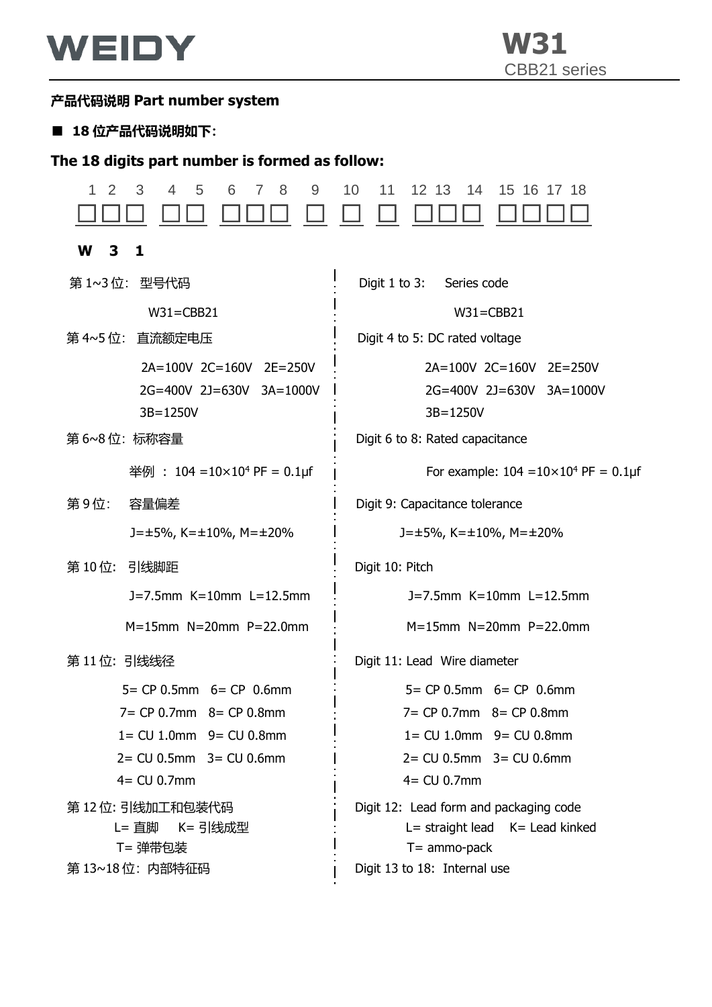

### **产品代码说明 Part number system**

#### ■ 18 位产品代码说明如下:

### **The 18 digits part number is formed as follow:**

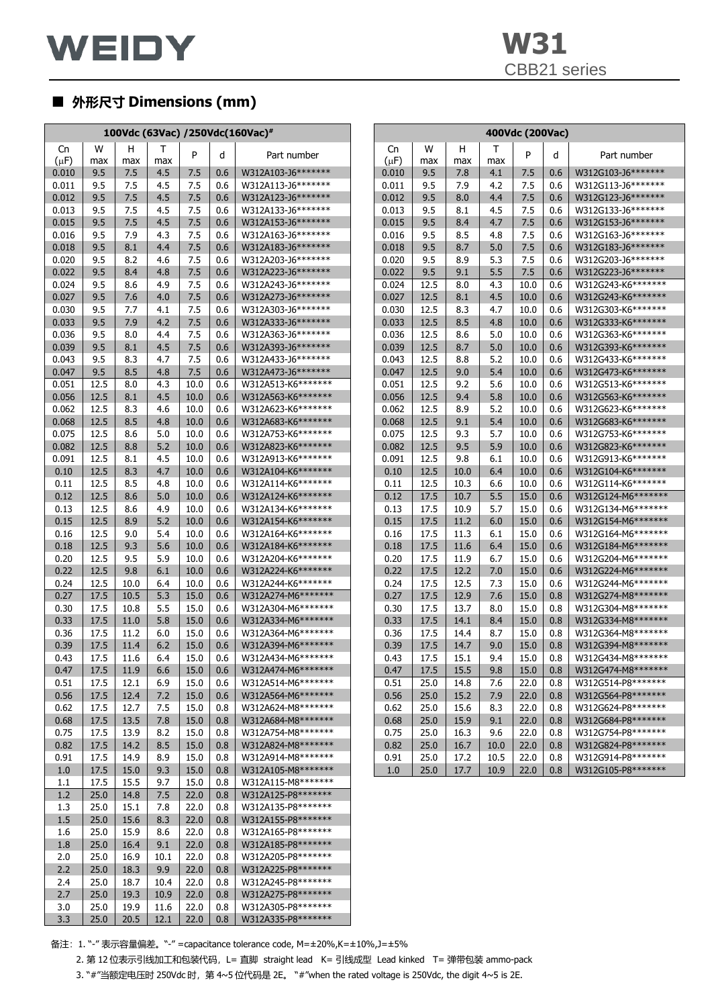

# ■ **外形尺寸 Dimensions (mm)**

|                | 100Vdc (63Vac) /250Vdc(160Vac) <sup>#</sup> |              |              |              |            |                                           | 400Vdc (200Vac) |                |              |              |            |              |            |                                           |
|----------------|---------------------------------------------|--------------|--------------|--------------|------------|-------------------------------------------|-----------------|----------------|--------------|--------------|------------|--------------|------------|-------------------------------------------|
| Cn             | W                                           | н            | Τ            | P            | d          | Part number                               |                 | Cn             | W            | н            | т          | P            | d          | Part number                               |
| $(\mu F)$      | max                                         | max          | max          |              |            |                                           |                 | $(\mu F)$      | max          | max          | max        |              |            |                                           |
| 0.010          | 9.5                                         | 7.5          | 4.5          | 7.5          | 0.6        | W312A103-J6*******                        |                 | 0.010          | 9.5          | 7.8          | 4.1        | 7.5          | 0.6        | W312G103-J6********                       |
| 0.011          | 9.5                                         | 7.5          | 4.5          | 7.5          | 0.6        | W312A113-J6*******                        |                 | 0.011          | 9.5          | 7.9          | 4.2        | 7.5          | 0.6        | W312G113-J6********                       |
| 0.012          | 9.5                                         | 7.5          | 4.5          | 7.5          | 0.6        | W312A123-J6*******                        |                 | 0.012          | 9.5          | 8.0          | 4.4        | 7.5          | 0.6        | W312G123-J6********                       |
| 0.013          | 9.5                                         | 7.5          | 4.5          | 7.5          | 0.6        | W312A133-J6*******                        |                 | 0.013          | 9.5          | 8.1          | 4.5        | 7.5          | 0.6        | W312G133-J6*******                        |
| 0.015          | 9.5                                         | 7.5          | 4.5          | 7.5          | 0.6        | W312A153-J6*******                        |                 | 0.015          | 9.5          | 8.4          | 4.7        | 7.5          | 0.6        | W312G153-J6********                       |
| 0.016          | 9.5                                         | 7.9          | 4.3          | 7.5<br>7.5   | 0.6        | W312A163-J6*******<br>W312A183-J6*******  |                 | 0.016          | 9.5          | 8.5          | 4.8        | 7.5<br>7.5   | 0.6        | W312G163-J6********<br>W312G183-J6******* |
| 0.018<br>0.020 | 9.5<br>9.5                                  | 8.1<br>8.2   | 4.4<br>4.6   | 7.5          | 0.6<br>0.6 | W312A203-J6*******                        |                 | 0.018<br>0.020 | 9.5<br>9.5   | 8.7<br>8.9   | 5.0<br>5.3 | 7.5          | 0.6<br>0.6 | W312G203-J6********                       |
| 0.022          | 9.5                                         | 8.4          | 4.8          | 7.5          | 0.6        | W312A223-J6*******                        |                 | 0.022          | 9.5          | 9.1          | 5.5        | 7.5          | 0.6        | W312G223-J6********                       |
| 0.024          | 9.5                                         | 8.6          | 4.9          | 7.5          | 0.6        | W312A243-J6*******                        |                 | 0.024          | 12.5         | 8.0          | 4.3        | 10.0         | 0.6        | W312G243-K6********                       |
| 0.027          | 9.5                                         | 7.6          | 4.0          | 7.5          | 0.6        | W312A273-J6*******                        |                 | 0.027          | 12.5         | 8.1          | 4.5        | 10.0         | 0.6        | W312G243-K6*******                        |
| 0.030          | 9.5                                         | 7.7          | 4.1          | 7.5          | 0.6        | W312A303-J6*******                        |                 | 0.030          | 12.5         | 8.3          | 4.7        | 10.0         | 0.6        | W312G303-K6*******                        |
| 0.033          | 9.5                                         | 7.9          | 4.2          | 7.5          | 0.6        | W312A333-J6*******                        |                 | 0.033          | 12.5         | 8.5          | 4.8        | 10.0         | 0.6        | W312G333-K6*******                        |
| 0.036          | 9.5                                         | 8.0          | 4.4          | 7.5          | 0.6        | W312A363-J6*******                        |                 | 0.036          | 12.5         | 8.6          | 5.0        | 10.0         | 0.6        | W312G363-K6*******                        |
| 0.039          | 9.5                                         | 8.1          | 4.5          | 7.5          | 0.6        | W312A393-J6*******                        |                 | 0.039          | 12.5         | 8.7          | 5.0        | 10.0         | 0.6        | W312G393-K6*******                        |
| 0.043          | 9.5                                         | 8.3          | 4.7          | 7.5          | 0.6        | W312A433-J6*******                        |                 | 0.043          | 12.5         | 8.8          | 5.2        | 10.0         | 0.6        | W312G433-K6*******                        |
| 0.047          | 9.5                                         | 8.5          | 4.8          | 7.5          | 0.6        | W312A473-J6*******                        |                 | 0.047          | 12.5         | 9.0          | 5.4        | 10.0         | 0.6        | W312G473-K6*******                        |
| 0.051          | 12.5                                        | 8.0          | 4.3          | 10.0         | 0.6        | W312A513-K6*******                        |                 | 0.051          | 12.5         | 9.2          | 5.6        | 10.0         | 0.6        | W312G513-K6*******                        |
| 0.056          | 12.5                                        | 8.1          | 4.5          | 10.0         | 0.6        | W312A563-K6*******                        |                 | 0.056          | 12.5         | 9.4          | 5.8        | 10.0         | 0.6        | W312G563-K6********                       |
| 0.062          | 12.5                                        | 8.3          | 4.6          | 10.0         | 0.6        | W312A623-K6*******                        |                 | 0.062          | 12.5         | 8.9          | 5.2        | 10.0         | 0.6        | W312G623-K6*******                        |
| 0.068          | 12.5                                        | 8.5          | 4.8          | 10.0         | 0.6        | W312A683-K6*******                        |                 | 0.068          | 12.5         | 9.1          | 5.4        | 10.0         | 0.6        | W312G683-K6*******                        |
| 0.075          | 12.5                                        | 8.6          | 5.0          | 10.0         | 0.6        | W312A753-K6*******                        |                 | 0.075          | 12.5         | 9.3          | 5.7        | 10.0         | 0.6        | W312G753-K6*******                        |
| 0.082          | 12.5                                        | 8.8          | 5.2          | 10.0         | 0.6        | W312A823-K6*******                        |                 | 0.082          | 12.5         | 9.5          | 5.9        | 10.0         | 0.6        | W312G823-K6********                       |
| 0.091          | 12.5                                        | 8.1          | 4.5          | 10.0         | 0.6        | W312A913-K6*******                        |                 | 0.091          | 12.5         | 9.8          | 6.1        | 10.0         | 0.6        | W312G913-K6*******                        |
| 0.10           | 12.5                                        | 8.3          | 4.7          | 10.0         | 0.6        | W312A104-K6*******                        |                 | 0.10           | 12.5         | 10.0         | 6.4        | 10.0         | 0.6        | W312G104-K6*******                        |
| 0.11           | 12.5                                        | 8.5          | 4.8          | 10.0         | 0.6        | W312A114-K6********                       |                 | 0.11           | 12.5         | 10.3         | 6.6        | 10.0         | 0.6        | W312G114-K6*******                        |
| 0.12           | 12.5                                        | 8.6          | 5.0          | 10.0         | 0.6        | W312A124-K6*******                        |                 | 0.12           | 17.5         | 10.7         | 5.5<br>5.7 | 15.0         | 0.6        | W312G124-M6*******<br>W312G134-M6*******  |
| 0.13<br>0.15   | 12.5<br>12.5                                | 8.6<br>8.9   | 4.9<br>5.2   | 10.0<br>10.0 | 0.6<br>0.6 | W312A134-K6*******<br>W312A154-K6*******  |                 | 0.13<br>0.15   | 17.5<br>17.5 | 10.9<br>11.2 | 6.0        | 15.0<br>15.0 | 0.6<br>0.6 | W312G154-M6*******                        |
| 0.16           | 12.5                                        | 9.0          | 5.4          | 10.0         | 0.6        | W312A164-K6*******                        |                 | 0.16           | 17.5         | 11.3         | 6.1        | 15.0         | 0.6        | W312G164-M6*******                        |
| 0.18           | 12.5                                        | 9.3          | 5.6          | 10.0         | 0.6        | W312A184-K6*******                        |                 | 0.18           | 17.5         | 11.6         | 6.4        | 15.0         | 0.6        | W312G184-M6*******                        |
| 0.20           | 12.5                                        | 9.5          | 5.9          | 10.0         | 0.6        | W312A204-K6*******                        |                 | 0.20           | 17.5         | 11.9         | 6.7        | 15.0         | 0.6        | W312G204-M6*******                        |
| 0.22           | 12.5                                        | 9.8          | 6.1          | 10.0         | 0.6        | W312A224-K6*******                        |                 | 0.22           | 17.5         | 12.2         | 7.0        | 15.0         | 0.6        | W312G224-M6*******                        |
| 0.24           | 12.5                                        | 10.0         | 6.4          | 10.0         | 0.6        | W312A244-K6*******                        |                 | 0.24           | 17.5         | 12.5         | 7.3        | 15.0         | 0.6        | W312G244-M6*******                        |
| 0.27           | 17.5                                        | 10.5         | 5.3          | 15.0         | 0.6        | W312A274-M6*******                        |                 | 0.27           | 17.5         | 12.9         | 7.6        | 15.0         | 0.8        | W312G274-M8*******                        |
| 0.30           | 17.5                                        | 10.8         | 5.5          | 15.0         | 0.6        | W312A304-M6*******                        |                 | 0.30           | 17.5         | 13.7         | 8.0        | 15.0         | 0.8        | W312G304-M8*******                        |
| 0.33           | 17.5                                        | 11.0         | 5.8          | 15.0         | 0.6        | W312A334-M6*******                        |                 | 0.33           | 17.5         | 14.1         | 8.4        | 15.0         | 0.8        | W312G334-M8*******                        |
| 0.36           | 17.5                                        | 11.2         | 6.0          | 15.0         | 0.6        | W312A364-M6*******                        |                 | 0.36           | 17.5         | 14.4         | 8.7        | 15.0         | 0.8        | W312G364-M8*******                        |
| 0.39           | 17.5                                        | 11.4         | 6.2          | 15.0         | 0.6        | W312A394-M6*******                        |                 | 0.39           | 17.5         | 14.7         | 9.0        | 15.0         | 0.8        | W312G394-M8*******                        |
| 0.43           | 17.5                                        | 11.6         | 6.4          | 15.0         | 0.6        | W312A434-M6*******                        |                 | 0.43           | 17.5         | 15.1         | 9.4        | 15.0         | 0.8        | W312G434-M8*******                        |
| 0.47           | 17.5                                        | 11.9         | 6.6          | 15.0         | 0.6        | W312A474-M6*******                        |                 | 0.47           | 17.5         | 15.5         | 9.8        | 15.0         | 0.8        | W312G474-M8*******                        |
| 0.51           | 17.5<br>17.5                                | 12.1         | 6.9<br>7.2   | 15.0<br>15.0 | 0.6        | W312A514-M6*******<br>W312A564-M6******** |                 | 0.51           | 25.0         | 14.8         | 7.6        | 22.0<br>22.0 | 0.8<br>0.8 | W312G514-P8********<br>W312G564-P8******* |
| 0.56<br>0.62   | 17.5                                        | 12.4<br>12.7 | 7.5          | 15.0         | 0.6<br>0.8 | W312A624-M8*******                        |                 | 0.56<br>0.62   | 25.0<br>25.0 | 15.2<br>15.6 | 7.9<br>8.3 | 22.0         | 0.8        | W312G624-P8*******                        |
| 0.68           | 17.5                                        | 13.5         | 7.8          | 15.0         | 0.8        | W312A684-M8*******                        |                 | 0.68           | 25.0         | 15.9         | 9.1        | 22.0         | 0.8        | W312G684-P8*******                        |
| 0.75           | 17.5                                        | 13.9         | 8.2          | 15.0         | 0.8        | W312A754-M8*******                        |                 | 0.75           | 25.0         | 16.3         | 9.6        | 22.0         | 0.8        | W312G754-P8*******                        |
| 0.82           | 17.5                                        | 14.2         | 8.5          | 15.0         | 0.8        | W312A824-M8*******                        |                 | 0.82           | 25.0         | 16.7         | 10.0       | 22.0         | 0.8        | W312G824-P8*******                        |
| 0.91           | 17.5                                        | 14.9         | 8.9          | 15.0         | 0.8        | W312A914-M8*******                        |                 | 0.91           | 25.0         | 17.2         | 10.5       | 22.0         | 0.8        | W312G914-P8*******                        |
| 1.0            | 17.5                                        | 15.0         | 9.3          | 15.0         | 0.8        | W312A105-M8*******                        |                 | 1.0            | 25.0         | 17.7         | 10.9       | 22.0         | 0.8        | W312G105-P8*******                        |
| 1.1            | 17.5                                        | 15.5         | 9.7          | 15.0         | 0.8        | W312A115-M8*******                        |                 |                |              |              |            |              |            |                                           |
| 1.2            | 25.0                                        | 14.8         | 7.5          | 22.0         | 0.8        | W312A125-P8*******                        |                 |                |              |              |            |              |            |                                           |
| 1.3            | 25.0                                        | 15.1         | 7.8          | 22.0         | 0.8        | W312A135-P8*******                        |                 |                |              |              |            |              |            |                                           |
| 1.5            | 25.0                                        | 15.6         | 8.3          | 22.0         | 0.8        | W312A155-P8*******                        |                 |                |              |              |            |              |            |                                           |
| 1.6            | 25.0                                        | 15.9         | 8.6          | 22.0         | 0.8        | W312A165-P8*******                        |                 |                |              |              |            |              |            |                                           |
| 1.8            | 25.0                                        | 16.4         | 9.1          | 22.0         | 0.8        | W312A185-P8*******                        |                 |                |              |              |            |              |            |                                           |
| 2.0            | 25.0                                        | 16.9         | 10.1         | 22.0         | 0.8        | W312A205-P8*******                        |                 |                |              |              |            |              |            |                                           |
| 2.2            | 25.0                                        | 18.3         | 9.9          | 22.0         | 0.8        | W312A225-P8*******                        |                 |                |              |              |            |              |            |                                           |
| 2.4            | 25.0                                        | 18.7         | 10.4         | 22.0         | 0.8        | W312A245-P8*******                        |                 |                |              |              |            |              |            |                                           |
| 2.7<br>3.0     | 25.0<br>25.0                                | 19.3<br>19.9 | 10.9<br>11.6 | 22.0<br>22.0 | 0.8<br>0.8 | W312A275-P8*******<br>W312A305-P8*******  |                 |                |              |              |            |              |            |                                           |
| 3.3            | 25.0                                        | 20.5         | 12.1         | 22.0         | 0.8        | W312A335-P8*******                        |                 |                |              |              |            |              |            |                                           |
|                |                                             |              |              |              |            |                                           |                 |                |              |              |            |              |            |                                           |

|              | 100Vdc (63Vac) /250Vdc(160Vac) <sup>#</sup> |              |            |              |            |                                          | 400Vdc (200Vac) |              |              |            |              |            |                                            |
|--------------|---------------------------------------------|--------------|------------|--------------|------------|------------------------------------------|-----------------|--------------|--------------|------------|--------------|------------|--------------------------------------------|
| Cn<br>(µF)   | W<br>max                                    | н<br>max     | Т<br>max   | P            | d          | Part number                              | Cn<br>$(\mu F)$ | W<br>max     | н<br>max     | т<br>max   | P            | d          | Part number                                |
| ).010        | 9.5                                         | 7.5          | 4.5        | 7.5          | 0.6        | W312A103-J6*******                       | 0.010           | 9.5          | 7.8          | 4.1        | 7.5          | 0.6        | W312G103-J6*******                         |
| ).011        | 9.5                                         | 7.5          | 4.5        | 7.5          | 0.6        | W312A113-J6*******                       | 0.011           | 9.5          | 7.9          | 4.2        | 7.5          | 0.6        | W312G113-J6*******                         |
| ).012        | 9.5                                         | 7.5          | 4.5        | 7.5          | 0.6        | W312A123-J6*******                       | 0.012           | 9.5          | 8.0          | 4.4        | 7.5          | 0.6        | W312G123-J6*******                         |
| ).013        | 9.5                                         | 7.5          | 4.5        | 7.5          | 0.6        | W312A133-J6*******                       | 0.013           | 9.5          | 8.1          | 4.5        | 7.5          | 0.6        | W312G133-J6*******                         |
| ).015        | 9.5                                         | 7.5          | 4.5        | 7.5          | 0.6        | W312A153-J6*******                       | 0.015           | 9.5          | 8.4          | 4.7        | 7.5          | 0.6        | W312G153-J6*******                         |
| ).016        | 9.5                                         | 7.9          | 4.3        | 7.5          | 0.6        | W312A163-J6*******                       | 0.016           | 9.5          | 8.5          | 4.8        | 7.5          | 0.6        | W312G163-J6*******                         |
| ).018        | 9.5                                         | 8.1          | 4.4        | 7.5          | 0.6        | W312A183-J6*******                       | 0.018           | 9.5          | 8.7          | 5.0        | 7.5          | 0.6        | W312G183-J6*******                         |
| ).020        | 9.5                                         | 8.2          | 4.6        | 7.5          | 0.6        | W312A203-J6*******                       | 0.020           | 9.5          | 8.9          | 5.3        | 7.5          | 0.6        | W312G203-J6********                        |
| ).022        | 9.5                                         | 8.4          | 4.8        | 7.5          | 0.6        | W312A223-J6*******                       | 0.022           | 9.5          | 9.1          | 5.5        | 7.5          | 0.6        | W312G223-J6*******                         |
| ).024        | 9.5                                         | 8.6          | 4.9        | 7.5          | 0.6        | W312A243-J6*******                       | 0.024           | 12.5         | 8.0          | 4.3        | 10.0         | 0.6        | W312G243-K6*******                         |
| ).027        | 9.5                                         | 7.6          | 4.0        | 7.5          | 0.6        | W312A273-J6*******                       | 0.027           | 12.5         | 8.1          | 4.5        | 10.0         | 0.6        | W312G243-K6*******                         |
| ).030        | 9.5                                         | 7.7          | 4.1        | 7.5          | 0.6        | W312A303-J6*******                       | 0.030           | 12.5         | 8.3          | 4.7        | 10.0         | 0.6        | W312G303-K6*******                         |
| ).033        | 9.5                                         | 7.9          | 4.2        | 7.5          | 0.6        | W312A333-J6*******                       | 0.033           | 12.5         | 8.5          | 4.8        | 10.0         | 0.6        | W312G333-K6*******                         |
| 0.036        | 9.5                                         | 8.0          | 4.4        | 7.5          | 0.6        | W312A363-J6********                      | 0.036           | 12.5         | 8.6          | 5.0        | 10.0         | 0.6        | W312G363-K6*******                         |
| ).039        | 9.5                                         | 8.1          | 4.5        | 7.5          | 0.6        | W312A393-J6*******                       | 0.039           | 12.5         | 8.7          | 5.0        | 10.0         | 0.6        | W312G393-K6*******                         |
| ).043        | 9.5                                         | 8.3          | 4.7        | 7.5          | 0.6        | W312A433-J6*******                       | 0.043           | 12.5         | 8.8          | 5.2        | 10.0         | 0.6        | W312G433-K6********                        |
| ).047        | 9.5                                         | 8.5          | 4.8        | 7.5          | 0.6        | W312A473-J6*******                       | 0.047           | 12.5         | 9.0          | 5.4        | 10.0         | 0.6        | W312G473-K6*******                         |
| ).051        | 12.5                                        | 8.0          | 4.3        | 10.0         | 0.6        | W312A513-K6*******                       | 0.051           | 12.5         | 9.2          | 5.6        | 10.0         | 0.6        | W312G513-K6*******                         |
| 0.056        | 12.5                                        | 8.1          | 4.5        | 10.0         | 0.6        | W312A563-K6*******                       | 0.056           | 12.5         | 9.4          | 5.8        | 10.0         | 0.6        | W312G563-K6*******                         |
| ).062        | 12.5                                        | 8.3          | 4.6        | 10.0         | 0.6        | W312A623-K6*******                       | 0.062           | 12.5         | 8.9          | 5.2        | 10.0         | 0.6        | W312G623-K6*******                         |
| ).068        | 12.5                                        | 8.5          | 4.8        | 10.0         | 0.6        | W312A683-K6*******                       | 0.068           | 12.5         | 9.1          | 5.4        | 10.0         | 0.6        | W312G683-K6*******                         |
| ).075        | 12.5                                        | 8.6          | 5.0        | 10.0         | 0.6        | W312A753-K6*******                       | 0.075           | 12.5         | 9.3          | 5.7        | 10.0         | 0.6        | W312G753-K6*******                         |
| ).082        | 12.5                                        | 8.8          | 5.2        | 10.0         | 0.6        | W312A823-K6*******                       | 0.082           | 12.5         | 9.5          | 5.9        | 10.0         | 0.6        | W312G823-K6*******                         |
| ).091        | 12.5                                        | 8.1          | 4.5        | 10.0         | 0.6        | W312A913-K6*******                       | 0.091           | 12.5         | 9.8          | 6.1        | 10.0         | 0.6        | W312G913-K6*******                         |
| 0.10         | 12.5                                        | 8.3          | 4.7        | 10.0         | 0.6        | W312A104-K6*******                       | 0.10            | 12.5         | 10.0         | 6.4        | 10.0         | 0.6        | W312G104-K6*******                         |
| 0.11         | 12.5                                        | 8.5          | 4.8        | 10.0         | 0.6        | W312A114-K6*******                       | 0.11            | 12.5         | 10.3         | 6.6        | 10.0         | 0.6        | W312G114-K6*******                         |
| 0.12         | 12.5                                        | 8.6          | 5.0        | 10.0         | 0.6        | W312A124-K6*******                       | 0.12            | 17.5         | 10.7         | 5.5        | 15.0         | 0.6        | W312G124-M6********                        |
| 0.13         | 12.5                                        | 8.6          | 4.9        | 10.0         | 0.6        | W312A134-K6*******                       | 0.13            | 17.5         | 10.9         | 5.7        | 15.0         | 0.6        | W312G134-M6*******                         |
| 0.15         | 12.5                                        | 8.9          | 5.2        | 10.0         | 0.6        | W312A154-K6*******                       | 0.15            | 17.5         | 11.2         | 6.0        | 15.0         | 0.6        | W312G154-M6*******                         |
| 0.16         | 12.5                                        | 9.0          | 5.4        | 10.0         | 0.6        | W312A164-K6*******                       | 0.16            | 17.5         | 11.3         | 6.1        | 15.0         | 0.6        | W312G164-M6*******                         |
| 0.18         | 12.5                                        | 9.3          | 5.6        | 10.0         | 0.6        | W312A184-K6*******                       | 0.18            | 17.5         | 11.6         | 6.4        | 15.0         | 0.6        | W312G184-M6*******                         |
| 0.20         | 12.5                                        | 9.5          | 5.9        | 10.0         | 0.6        | W312A204-K6*******                       | 0.20            | 17.5         | 11.9         | 6.7        | 15.0         | 0.6        | W312G204-M6*******                         |
| 0.22         | 12.5                                        | 9.8          | 6.1        | 10.0         | 0.6        | W312A224-K6*******                       | 0.22            | 17.5         | 12.2         | 7.0        | 15.0         | 0.6        | W312G224-M6*******                         |
| 0.24         | 12.5                                        | 10.0         | 6.4        | 10.0         | 0.6        | W312A244-K6*******                       | 0.24            | 17.5         | 12.5         | 7.3        | 15.0         | 0.6        | W312G244-M6*******                         |
| 0.27         | 17.5                                        | 10.5         | 5.3        | 15.0         | 0.6        | W312A274-M6*******                       | 0.27            | 17.5         | 12.9         | 7.6        | 15.0         | 0.8        | W312G274-M8*******                         |
| 0.30         | 17.5                                        | 10.8         | 5.5        | 15.0         | 0.6        | W312A304-M6*******                       | 0.30            | 17.5         | 13.7         | 8.0        | 15.0         | 0.8        | W312G304-M8*******                         |
| 0.33         | 17.5                                        | 11.0         | 5.8        | 15.0         | 0.6        | W312A334-M6*******                       | 0.33            | 17.5         | 14.1         | 8.4        | 15.0         | 0.8        | W312G334-M8*******                         |
| 0.36         | 17.5                                        | 11.2         | 6.0        | 15.0         | 0.6        | W312A364-M6*******                       | 0.36            | 17.5         | 14.4         | 8.7        | 15.0         | 0.8        | W312G364-M8*******                         |
| 0.39         | 17.5                                        | 11.4         | 6.2        | 15.0         | 0.6        | W312A394-M6*******                       | 0.39            | 17.5         | 14.7         | 9.0        | 15.0         | 0.8        | W312G394-M8*******                         |
| 0.43         | 17.5                                        | 11.6         | 6.4        | 15.0         | 0.6        | W312A434-M6*******                       | 0.43            | 17.5         | 15.1         | 9.4        | 15.0         | 0.8        | W312G434-M8*******                         |
| 0.47         | 17.5                                        | 11.9         | 6.6        | 15.0         | 0.6        | W312A474-M6*******                       | 0.47            | 17.5         | 15.5         | 9.8        | 15.0         | 0.8        | W312G474-M8*******                         |
| 0.51         | 17.5                                        | 12.1         | 6.9        | 15.0         | 0.6        | W312A514-M6*******                       | 0.51            | 25.0         | 14.8         | 7.6        | 22.0         | 0.8        | W312G514-P8********                        |
| 0.56         | 17.5                                        | 12.4         | 7.2        | 15.0         | 0.6        | W312A564-M6*******                       | 0.56            | 25.0         | 15.2         | 7.9        | 22.0         | 0.8        | W312G564-P8********<br>W312G624-P8******** |
| 0.62         | 17.5                                        | 12.7         | 7.5        | 15.0         | 0.8        | W312A624-M8*******                       | 0.62            | 25.0         | 15.6         | 8.3        | 22.0         | 0.8        | W312G684-P8********                        |
| 0.68<br>0.75 | 17.5                                        | 13.5         | 7.8        | 15.0<br>15.0 | 0.8        | W312A684-M8*******<br>W312A754-M8******* | 0.68<br>0.75    | 25.0<br>25.0 | 15.9<br>16.3 | 9.1<br>9.6 | 22.0<br>22.0 | 0.8<br>0.8 | W312G754-P8*******                         |
| 0.82         | 17.5<br>17.5                                | 13.9<br>14.2 | 8.2<br>8.5 | 15.0         | 0.8<br>0.8 | W312A824-M8*******                       | 0.82            | 25.0         | 16.7         | 10.0       | 22.0         | 0.8        | W312G824-P8*******                         |
| 0.91         | 17.5                                        | 14.9         | 8.9        | 15.0         | 0.8        | W312A914-M8*******                       | 0.91            | 25.0         | 17.2         | 10.5       | 22.0         | 0.8        | W312G914-P8*******                         |
| 1.0          | 17.5                                        | 15.0         | 9.3        | 15.0         | 0.8        | W312A105-M8*******                       | 1.0             | 25.0         | 17.7         | 10.9       | 22.0         | 0.8        | W312G105-P8*******                         |
|              |                                             |              |            |              |            |                                          |                 |              |              |            |              |            |                                            |

备注:1. "-" 表示容量偏差。"-" =capacitance tolerance code, M=±20%,K=±10%,J=±5%

2. 第 12 位表示引线加工和包装代码, L= 直脚 straight lead K= 引线成型 Lead kinked T= 弹带包装 ammo-pack

3. "#"当额定电压时 250Vdc 时, 第 4~5 位代码是 2E。 "#"when the rated voltage is 250Vdc, the digit 4~5 is 2E.